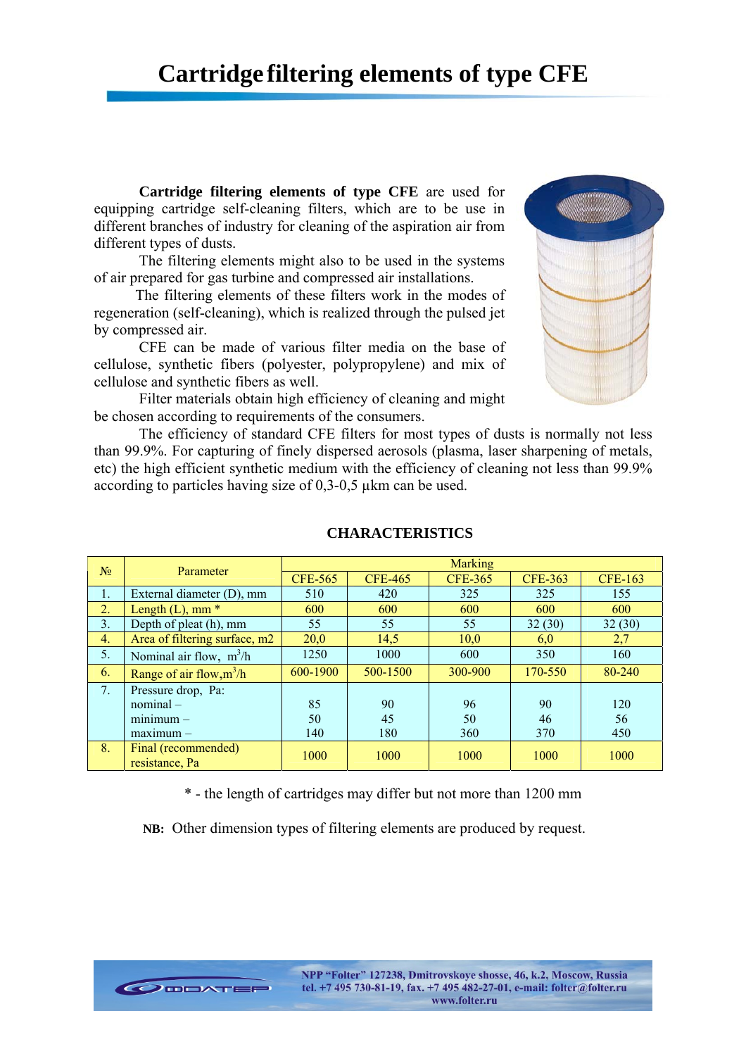**Cartridge filtering elements of type CFE** are used for equipping cartridge self-cleaning filters, which are to be use in different branches of industry for cleaning of the aspiration air from different types of dusts.

The filtering elements might also to be used in the systems of air prepared for gas turbine and compressed air installations.

 The filtering elements of these filters work in the modes of regeneration (self-cleaning), which is realized through the pulsed jet by compressed air.

CFE can be made of various filter media on the base of cellulose, synthetic fibers (polyester, polypropylene) and mix of cellulose and synthetic fibers as well.

Filter materials obtain high efficiency of cleaning and might be chosen according to requirements of the consumers.

The efficiency of standard CFE filters for most types of dusts is normally not less than 99.9%. For capturing of finely dispersed aerosols (plasma, laser sharpening of metals, etc) the high efficient synthetic medium with the efficiency of cleaning not less than 99.9% according to particles having size of 0,3-0,5 µkm can be used.

| N <sub>2</sub> | Parameter                             | Marking        |                |                |                |                |
|----------------|---------------------------------------|----------------|----------------|----------------|----------------|----------------|
|                |                                       | <b>CFE-565</b> | <b>CFE-465</b> | <b>CFE-365</b> | <b>CFE-363</b> | <b>CFE-163</b> |
| Ι.             | External diameter (D), mm             | 510            | 420            | 325            | 325            | 155            |
| 2.             | Length $(L)$ , mm $*$                 | 600            | 600            | 600            | 600            | 600            |
| 3.             | Depth of pleat (h), mm                | 55             | 55             | 55             | 32(30)         | 32(30)         |
| 4.             | Area of filtering surface, m2         | 20,0           | 14,5           | 10,0           | 6,0            | 2,7            |
| 5.             | Nominal air flow, $m^3/h$             | 1250           | 1000           | 600            | 350            | 160            |
| 6.             | Range of air flow, $m^3/h$            | 600-1900       | 500-1500       | 300-900        | 170-550        | 80-240         |
| 7.             | Pressure drop, Pa:                    |                |                |                |                |                |
|                | nominal-                              | 85             | 90             | 96             | 90             | 120            |
|                | $minimum -$                           | 50             | 45             | 50             | 46             | 56             |
|                | $maximum -$                           | 140            | 180            | 360            | 370            | 450            |
| 8.             | Final (recommended)<br>resistance, Pa | 1000           | 1000           | 1000           | 1000           | 1000           |

## **CHARACTERISTICS**

\* - the length of cartridges may differ but not more than 1200 mm

**NB:** Other dimension types of filtering elements are produced by request.